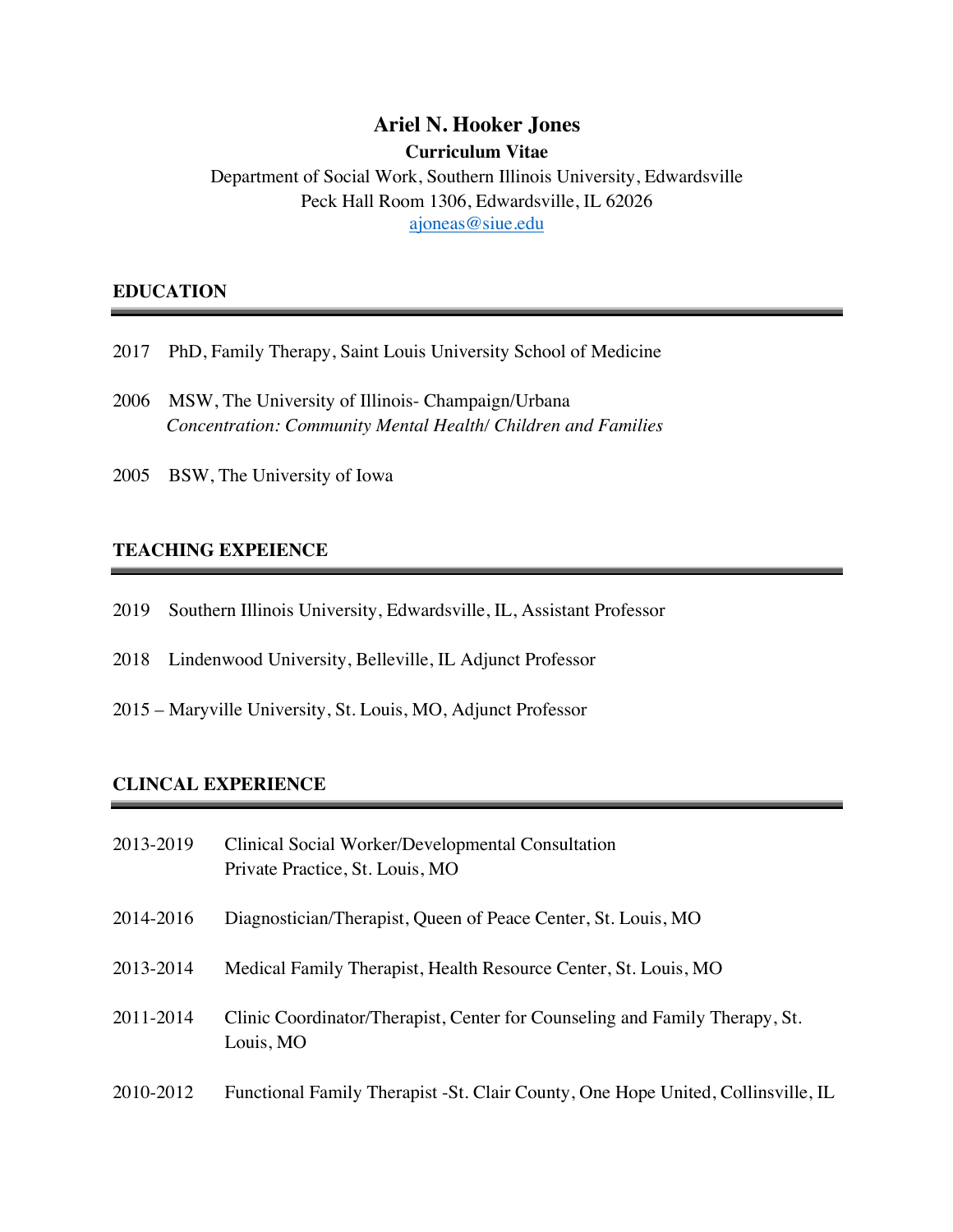# **Ariel N. Hooker Jones**

**Curriculum Vitae**

Department of Social Work, Southern Illinois University, Edwardsville Peck Hall Room 1306, Edwardsville, IL 62026 ajoneas@siue.edu

### **EDUCATION**

- 2017 PhD, Family Therapy, Saint Louis University School of Medicine
- 2006 MSW, The University of Illinois- Champaign/Urbana *Concentration: Community Mental Health/ Children and Families*
- 2005 BSW, The University of Iowa

## **TEACHING EXPEIENCE**

- 2019 Southern Illinois University, Edwardsville, IL, Assistant Professor
- 2018 Lindenwood University, Belleville, IL Adjunct Professor
- 2015 Maryville University, St. Louis, MO, Adjunct Professor

### **CLINCAL EXPERIENCE**

| 2013-2019 | Clinical Social Worker/Developmental Consultation<br>Private Practice, St. Louis, MO     |
|-----------|------------------------------------------------------------------------------------------|
| 2014-2016 | Diagnostician/Therapist, Queen of Peace Center, St. Louis, MO                            |
| 2013-2014 | Medical Family Therapist, Health Resource Center, St. Louis, MO                          |
| 2011-2014 | Clinic Coordinator/Therapist, Center for Counseling and Family Therapy, St.<br>Louis, MO |
| 2010-2012 | Functional Family Therapist - St. Clair County, One Hope United, Collinsville, IL        |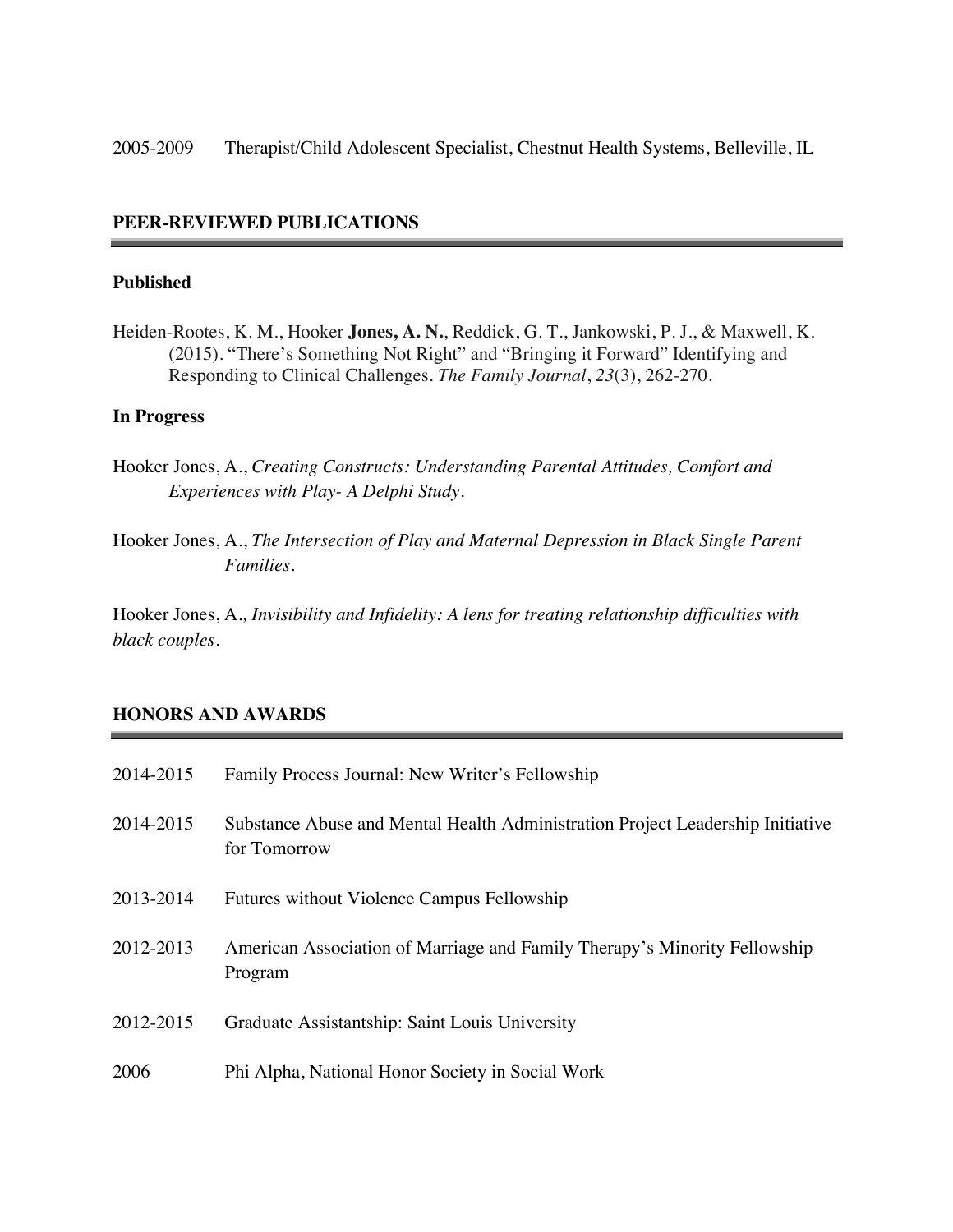2005-2009 Therapist/Child Adolescent Specialist, Chestnut Health Systems, Belleville, IL

#### **PEER-REVIEWED PUBLICATIONS**

## **Published**

Heiden-Rootes, K. M., Hooker **Jones, A. N.**, Reddick, G. T., Jankowski, P. J., & Maxwell, K. (2015). "There's Something Not Right" and "Bringing it Forward" Identifying and Responding to Clinical Challenges. *The Family Journal*, *23*(3), 262-270.

#### **In Progress**

- Hooker Jones, A., *Creating Constructs: Understanding Parental Attitudes, Comfort and Experiences with Play- A Delphi Study.*
- Hooker Jones, A., *The Intersection of Play and Maternal Depression in Black Single Parent Families.*

Hooker Jones, A*., Invisibility and Infidelity: A lens for treating relationship difficulties with black couples.* 

#### **HONORS AND AWARDS**

| 2014-2015 | Family Process Journal: New Writer's Fellowship                                                |
|-----------|------------------------------------------------------------------------------------------------|
| 2014-2015 | Substance Abuse and Mental Health Administration Project Leadership Initiative<br>for Tomorrow |
| 2013-2014 | Futures without Violence Campus Fellowship                                                     |
| 2012-2013 | American Association of Marriage and Family Therapy's Minority Fellowship<br>Program           |
| 2012-2015 | Graduate Assistantship: Saint Louis University                                                 |
| 2006      | Phi Alpha, National Honor Society in Social Work                                               |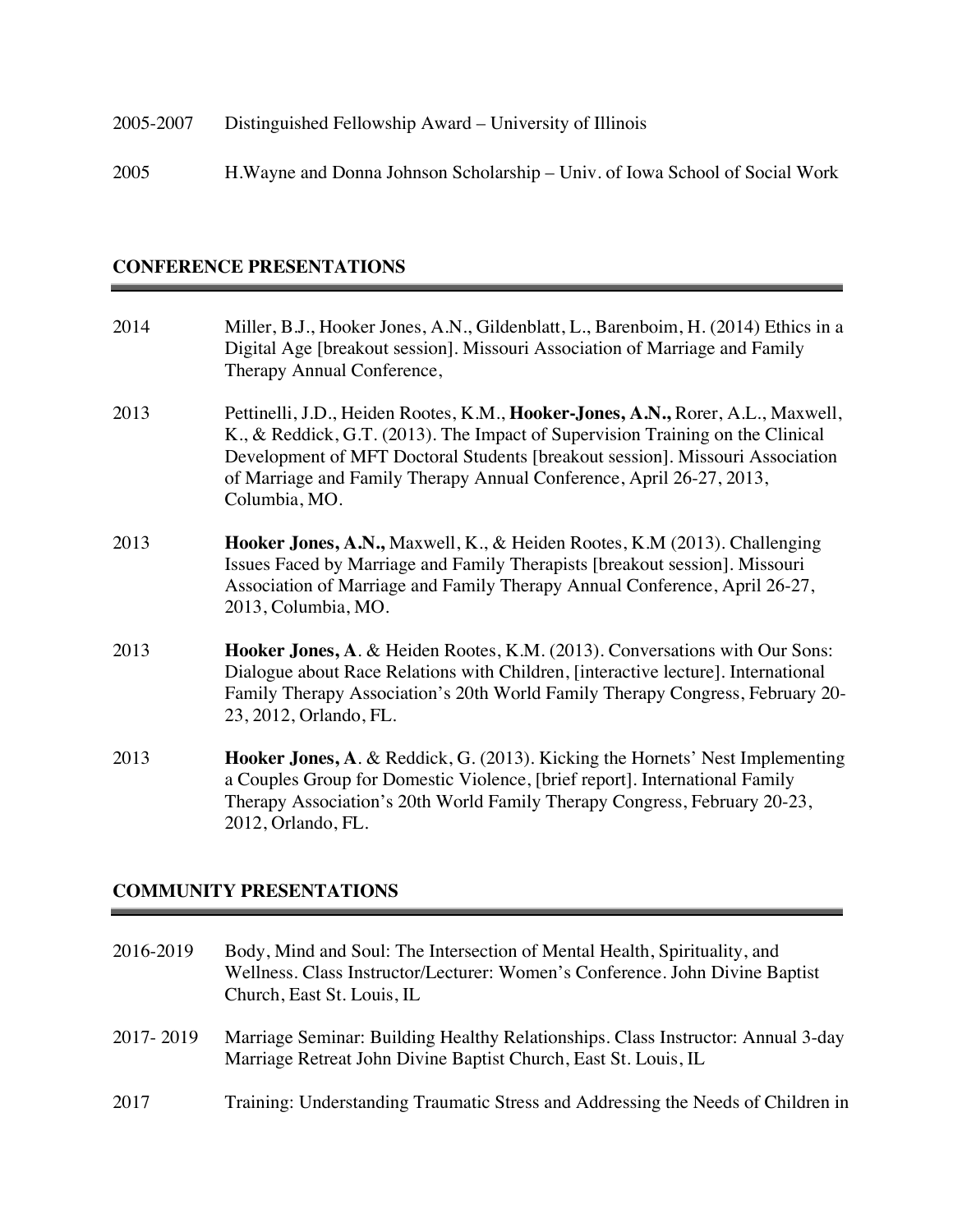2005 H.Wayne and Donna Johnson Scholarship – Univ. of Iowa School of Social Work

## **CONFERENCE PRESENTATIONS**

| 2014 | Miller, B.J., Hooker Jones, A.N., Gildenblatt, L., Barenboim, H. (2014) Ethics in a<br>Digital Age [breakout session]. Missouri Association of Marriage and Family<br>Therapy Annual Conference,                                                                                                                                             |
|------|----------------------------------------------------------------------------------------------------------------------------------------------------------------------------------------------------------------------------------------------------------------------------------------------------------------------------------------------|
| 2013 | Pettinelli, J.D., Heiden Rootes, K.M., Hooker-Jones, A.N., Rorer, A.L., Maxwell,<br>K., & Reddick, G.T. (2013). The Impact of Supervision Training on the Clinical<br>Development of MFT Doctoral Students [breakout session]. Missouri Association<br>of Marriage and Family Therapy Annual Conference, April 26-27, 2013,<br>Columbia, MO. |
| 2013 | <b>Hooker Jones, A.N., Maxwell, K., &amp; Heiden Rootes, K.M (2013). Challenging</b><br>Issues Faced by Marriage and Family Therapists [breakout session]. Missouri<br>Association of Marriage and Family Therapy Annual Conference, April 26-27,<br>2013, Columbia, MO.                                                                     |
| 2013 | Hooker Jones, A. & Heiden Rootes, K.M. (2013). Conversations with Our Sons:<br>Dialogue about Race Relations with Children, [interactive lecture]. International<br>Family Therapy Association's 20th World Family Therapy Congress, February 20-<br>23, 2012, Orlando, FL.                                                                  |
| 2013 | Hooker Jones, A. & Reddick, G. (2013). Kicking the Hornets' Nest Implementing<br>a Couples Group for Domestic Violence, [brief report]. International Family<br>Therapy Association's 20th World Family Therapy Congress, February 20-23,<br>2012, Orlando, FL.                                                                              |

## **COMMUNITY PRESENTATIONS**

| 2016-2019 | Body, Mind and Soul: The Intersection of Mental Health, Spirituality, and<br>Wellness. Class Instructor/Lecturer: Women's Conference. John Divine Baptist<br>Church, East St. Louis, IL |
|-----------|-----------------------------------------------------------------------------------------------------------------------------------------------------------------------------------------|
| 2017-2019 | Marriage Seminar: Building Healthy Relationships. Class Instructor: Annual 3-day<br>Marriage Retreat John Divine Baptist Church, East St. Louis, IL                                     |
| 2017      | Training: Understanding Traumatic Stress and Addressing the Needs of Children in                                                                                                        |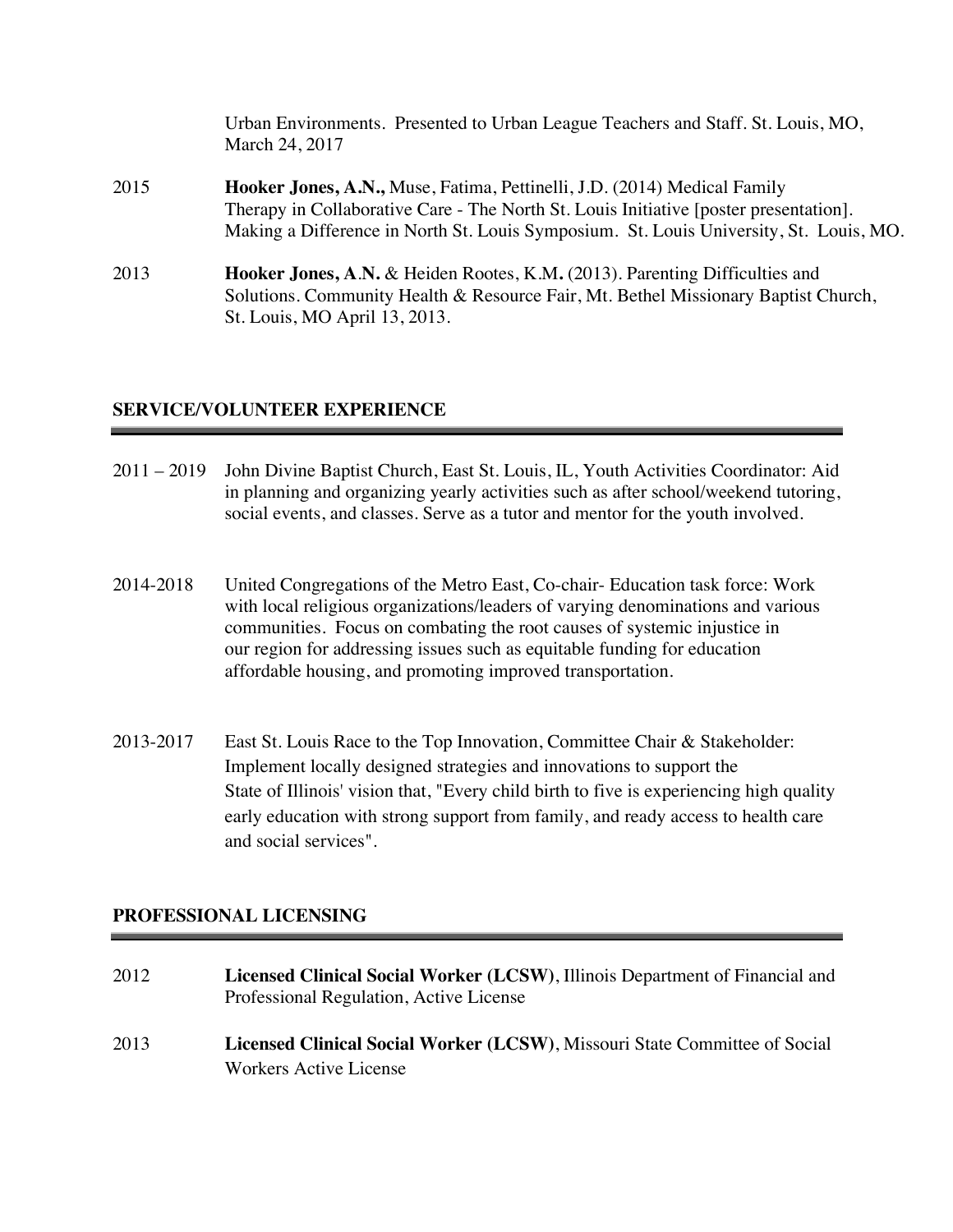|      | Urban Environments. Presented to Urban League Teachers and Staff. St. Louis, MO,<br>March 24, 2017                                                                                                                                                          |
|------|-------------------------------------------------------------------------------------------------------------------------------------------------------------------------------------------------------------------------------------------------------------|
| 2015 | Hooker Jones, A.N., Muse, Fatima, Pettinelli, J.D. (2014) Medical Family<br>Therapy in Collaborative Care - The North St. Louis Initiative [poster presentation].<br>Making a Difference in North St. Louis Symposium. St. Louis University, St. Louis, MO. |
| 2013 | <b>Hooker Jones, A.N. &amp; Heiden Rootes, K.M. (2013). Parenting Difficulties and</b><br>Solutions. Community Health & Resource Fair, Mt. Bethel Missionary Baptist Church,<br>St. Louis, MO April 13, 2013.                                               |

## **SERVICE/VOLUNTEER EXPERIENCE**

- 2011 2019 John Divine Baptist Church, East St. Louis, IL, Youth Activities Coordinator: Aid in planning and organizing yearly activities such as after school/weekend tutoring, social events, and classes. Serve as a tutor and mentor for the youth involved.
- 2014-2018 United Congregations of the Metro East, Co-chair- Education task force: Work with local religious organizations/leaders of varying denominations and various communities. Focus on combating the root causes of systemic injustice in our region for addressing issues such as equitable funding for education affordable housing, and promoting improved transportation.
- 2013-2017 East St. Louis Race to the Top Innovation, Committee Chair & Stakeholder: Implement locally designed strategies and innovations to support the State of Illinois' vision that, "Every child birth to five is experiencing high quality early education with strong support from family, and ready access to health care and social services".

## **PROFESSIONAL LICENSING**

| 2012 | Licensed Clinical Social Worker (LCSW), Illinois Department of Financial and<br>Professional Regulation, Active License |
|------|-------------------------------------------------------------------------------------------------------------------------|
| 2013 | Licensed Clinical Social Worker (LCSW), Missouri State Committee of Social<br>Workers Active License                    |